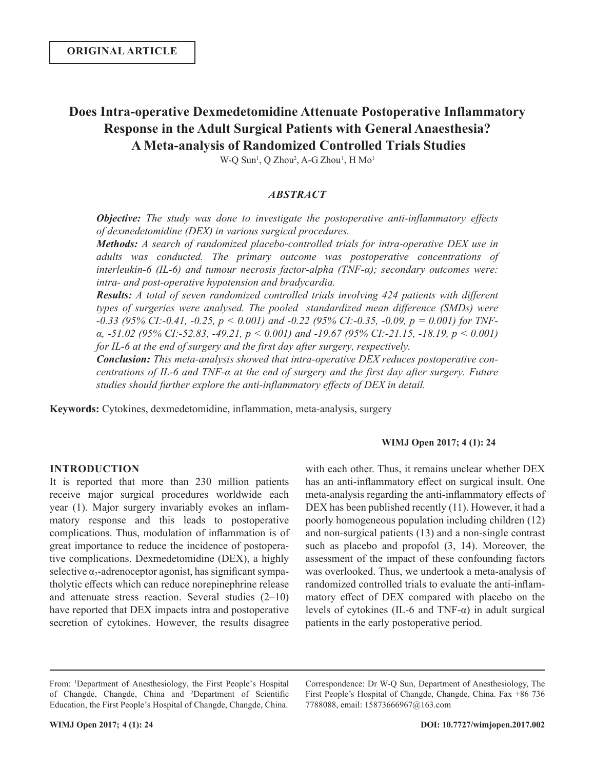# **Does Intra-operative Dexmedetomidine Attenuate Postoperative Inflammatory Response in the Adult Surgical Patients with General Anaesthesia? A Meta-analysis of Randomized Controlled Trials Studies**

W-Q Sun<sup>1</sup>, Q Zhou<sup>2</sup>, A-G Zhou<sup>1</sup>, H Mo<sup>1</sup>

# *ABSTRACT*

*Objective: The study was done to investigate the postoperative anti-inflammatory effects of dexmedetomidine (DEX) in various surgical procedures.*

*Methods: A search of randomized placebo-controlled trials for intra-operative DEX use in adults was conducted. The primary outcome was postoperative concentrations of interleukin-6 (IL-6) and tumour necrosis factor-alpha (TNF-α); secondary outcomes were: intra- and post-operative hypotension and bradycardia.*

*Results: A total of seven randomized controlled trials involving 424 patients with different types of surgeries were analysed. The pooled standardized mean difference (SMDs) were -0.33 (95% CI:-0.41, -0.25, p < 0.001) and -0.22 (95% CI:-0.35, -0.09, p = 0.001) for TNFα, -51.02 (95% CI:-52.83, -49.21, p < 0.001) and -19.67 (95% CI:-21.15, -18.19, p < 0.001) for IL-6 at the end of surgery and the first day after surgery, respectively.* 

*Conclusion: This meta-analysis showed that intra-operative DEX reduces postoperative concentrations of IL-6 and TNF-α at the end of surgery and the first day after surgery. Future studies should further explore the anti-inflammatory effects of DEX in detail.*

**Keywords:** Cytokines, dexmedetomidine, inflammation, meta-analysis, surgery

#### **WIMJ Open 2017; 4 (1): 24**

## **INTRODUCTION**

It is reported that more than 230 million patients receive major surgical procedures worldwide each year (1). Major surgery invariably evokes an inflammatory response and this leads to postoperative complications. Thus, modulation of inflammation is of great importance to reduce the incidence of postoperative complications. Dexmedetomidine (DEX), a highly selective  $\alpha_2$ -adrenoceptor agonist, has significant sympatholytic effects which can reduce norepinephrine release and attenuate stress reaction. Several studies  $(2-10)$ have reported that DEX impacts intra and postoperative secretion of cytokines. However, the results disagree

with each other. Thus, it remains unclear whether DEX has an anti-inflammatory effect on surgical insult. One meta-analysis regarding the anti-inflammatory effects of DEX has been published recently (11). However, it had a poorly homogeneous population including children (12) and non-surgical patients (13) and a non-single contrast such as placebo and propofol (3, 14). Moreover, the assessment of the impact of these confounding factors was overlooked. Thus, we undertook a meta-analysis of randomized controlled trials to evaluate the anti-inflammatory effect of DEX compared with placebo on the levels of cytokines (IL-6 and TNF-α) in adult surgical patients in the early postoperative period.

Correspondence: Dr W-Q Sun, Department of Anesthesiology, The First People's Hospital of Changde, Changde, China. Fax +86 736 7788088, email: 15873666967@163.com

From: <sup>1</sup>Department of Anesthesiology, the First People's Hospital of Changde, Changde, China and <sup>2</sup>Department of Scientific Education, the First People's Hospital of Changde, Changde, China.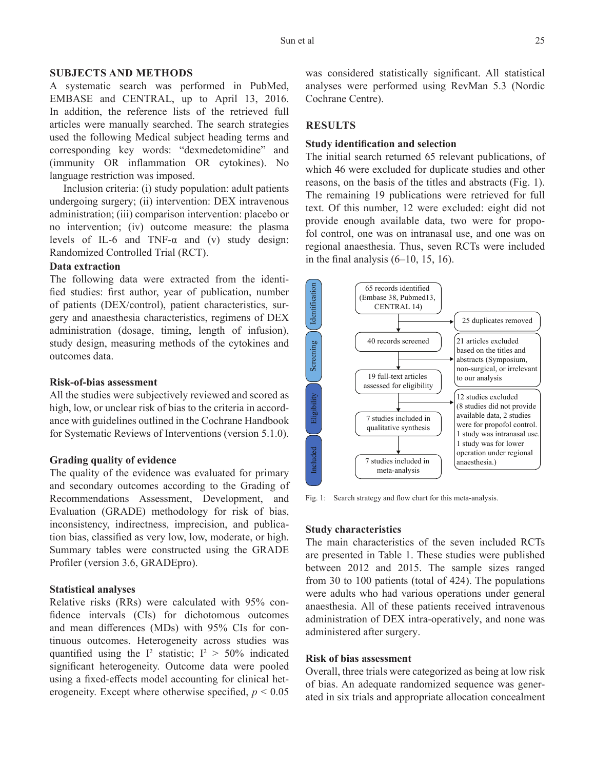## **SUBJECTS AND METHODS**

A systematic search was performed in PubMed, EMBASE and CENTRAL, up to April 13, 2016. In addition, the reference lists of the retrieved full articles were manually searched. The search strategies used the following Medical subject heading terms and corresponding key words: "dexmedetomidine" and (immunity OR inflammation OR cytokines). No language restriction was imposed.

Inclusion criteria: (i) study population: adult patients undergoing surgery; (ii) intervention: DEX intravenous administration; (iii) comparison intervention: placebo or no intervention; (iv) outcome measure: the plasma levels of IL-6 and TNF- $\alpha$  and (v) study design: Randomized Controlled Trial (RCT).

# **Data extraction**

The following data were extracted from the identified studies: first author, year of publication, number of patients (DEX/control), patient characteristics, surgery and anaesthesia characteristics, regimens of DEX administration (dosage, timing, length of infusion), study design, measuring methods of the cytokines and outcomes data.

#### **Risk-of-bias assessment**

All the studies were subjectively reviewed and scored as high, low, or unclear risk of bias to the criteria in accordance with guidelines outlined in the Cochrane Handbook for Systematic Reviews of Interventions (version 5.1.0).

## **Grading quality of evidence**

The quality of the evidence was evaluated for primary and secondary outcomes according to the Grading of Recommendations Assessment, Development, and Evaluation (GRADE) methodology for risk of bias, inconsistency, indirectness, imprecision, and publication bias, classified as very low, low, moderate, or high. Summary tables were constructed using the GRADE Profiler (version 3.6, GRADEpro).

## **Statistical analyses**

Relative risks (RRs) were calculated with 95% confidence intervals (CIs) for dichotomous outcomes and mean differences (MDs) with 95% CIs for continuous outcomes. Heterogeneity across studies was quantified using the  $I^2$  statistic;  $I^2 > 50\%$  indicated significant heterogeneity. Outcome data were pooled using a fixed-effects model accounting for clinical heterogeneity. Except where otherwise specified,  $p \leq 0.05$ 

was considered statistically significant. All statistical analyses were performed using RevMan 5.3 (Nordic Cochrane Centre).

## **RESULTS**

# **Study identification and selection**

The initial search returned 65 relevant publications, of which 46 were excluded for duplicate studies and other reasons, on the basis of the titles and abstracts (Fig. 1). The remaining 19 publications were retrieved for full text. Of this number, 12 were excluded: eight did not provide enough available data, two were for propofol control, one was on intranasal use, and one was on regional anaesthesia. Thus, seven RCTs were included in the final analysis  $(6-10, 15, 16)$ .



Fig. 1: Search strategy and flow chart for this meta-analysis.

#### **Study characteristics**

The main characteristics of the seven included RCTs are presented in Table 1. These studies were published between 2012 and 2015. The sample sizes ranged from 30 to 100 patients (total of 424). The populations were adults who had various operations under general anaesthesia. All of these patients received intravenous administration of DEX intra-operatively, and none was administered after surgery.

#### **Risk of bias assessment**

Overall, three trials were categorized as being at low risk of bias. An adequate randomized sequence was generated in six trials and appropriate allocation concealment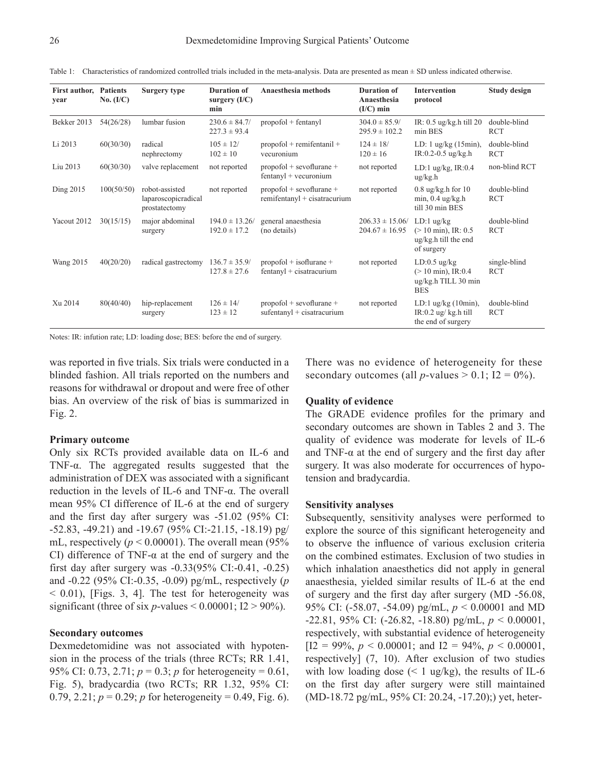| First author,<br>vear | <b>Patients</b><br>No. $(I/C)$ | Surgery type                                           | <b>Duration of</b><br>surgery $(I/C)$<br>min | Anaesthesia methods                                            | <b>Duration of</b><br>Anaesthesia<br>$(I/C)$ min | <b>Intervention</b><br>protocol                                                      | <b>Study design</b>        |
|-----------------------|--------------------------------|--------------------------------------------------------|----------------------------------------------|----------------------------------------------------------------|--------------------------------------------------|--------------------------------------------------------------------------------------|----------------------------|
| Bekker 2013           | 54(26/28)                      | lumbar fusion                                          | $230.6 \pm 84.7/$<br>$227.3 \pm 93.4$        | $propofol + fentanyl$                                          | $304.0 \pm 85.9/$<br>$295.9 \pm 102.2$           | IR: $0.5$ ug/kg.h till 20<br>min BES                                                 | double-blind<br><b>RCT</b> |
| Li 2013               | 60(30/30)                      | radical<br>nephrectomy                                 | $105 \pm 12/$<br>$102 \pm 10$                | $propofol + remifentanil +$<br>vecuronium                      | $124 \pm 18/$<br>$120 \pm 16$                    | LD: $1 \frac{\text{ug}}{\text{kg}}$ (15min),<br>IR:0.2-0.5 ug/kg.h                   | double-blind<br><b>RCT</b> |
| Liu 2013              | 60(30/30)                      | valve replacement                                      | not reported                                 | $propofol + sevoflurane +$<br>$f$ entanyl + vecuronium         | not reported                                     | LD:1 $\mu$ g/kg, IR:0.4<br>$\frac{ug}{kg.h}$                                         | non-blind RCT              |
| Ding 2015             | 100(50/50)                     | robot-assisted<br>laparoscopicradical<br>prostatectomy | not reported                                 | $propofol + sevoflurane +$<br>remifentanyl + cisatracurium     | not reported                                     | $0.8$ ug/kg.h for $10$<br>$min$ , 0.4 ug/kg.h<br>till 30 min BES                     | double-blind<br><b>RCT</b> |
| Yacout 2012           | 30(15/15)                      | major abdominal<br>surgery                             | $194.0 \pm 13.26$<br>$192.0 \pm 17.2$        | general anaesthesia<br>(no details)                            | $206.33 \pm 15.06/$<br>$204.67 \pm 16.95$        | $LD:1$ ug/kg<br>$(> 10 \text{ min})$ , IR: 0.5<br>ug/kg.h till the end<br>of surgery | double-blind<br><b>RCT</b> |
| <b>Wang 2015</b>      | 40(20/20)                      | radical gastrectomy                                    | $136.7 \pm 35.9/$<br>$127.8 \pm 27.6$        | $propofol + isoflurane +$<br>$f$ entanyl + cisatracurium       | not reported                                     | $LD:0.5$ ug/kg<br>$(> 10 \text{ min})$ , IR:0.4<br>ug/kg.h TILL 30 min<br><b>BES</b> | single-blind<br><b>RCT</b> |
| Xu 2014               | 80(40/40)                      | hip-replacement<br>surgery                             | $126 \pm 14/$<br>$123 \pm 12$                | $propofol + sevoflurane +$<br>$sufficientanyl + cisatracurium$ | not reported                                     | LD:1 $\mu$ g/kg (10min),<br>IR:0.2 ug/ $kg.h$ till<br>the end of surgery             | double-blind<br><b>RCT</b> |

Table 1: Characteristics of randomized controlled trials included in the meta-analysis. Data are presented as mean ± SD unless indicated otherwise.

Notes: IR: infution rate; LD: loading dose; BES: before the end of surgery.

was reported in five trials. Six trials were conducted in a blinded fashion. All trials reported on the numbers and reasons for withdrawal or dropout and were free of other bias. An overview of the risk of bias is summarized in Fig. 2.

## **Primary outcome**

Only six RCTs provided available data on IL-6 and TNF- $\alpha$ . The aggregated results suggested that the administration of DEX was associated with a significant reduction in the levels of IL-6 and TNF-α. The overall mean 95% CI difference of IL-6 at the end of surgery and the first day after surgery was -51.02 (95% CI: -52.83, -49.21) and -19.67 (95% CI:-21.15, -18.19) pg/ mL, respectively  $(p < 0.00001)$ . The overall mean  $(95\%$ CI) difference of TNF-α at the end of surgery and the first day after surgery was -0.33(95% CI:-0.41, -0.25) and -0.22 (95% CI:-0.35, -0.09) pg/mL, respectively (*p*  $<$  0.01), [Figs. 3, 4]. The test for heterogeneity was significant (three of six  $p$ -values  $< 0.00001$ ; I2  $> 90\%$ ).

#### **Secondary outcomes**

Dexmedetomidine was not associated with hypotension in the process of the trials (three RCTs; RR 1.41, 95% CI: 0.73, 2.71; *p* = 0.3; *p* for heterogeneity = 0.61, Fig. 5), bradycardia (two RCTs; RR 1.32, 95% CI: 0.79, 2.21;  $p = 0.29$ ;  $p$  for heterogeneity = 0.49, Fig. 6). There was no evidence of heterogeneity for these secondary outcomes (all *p*-values  $> 0.1$ ; I2 = 0%).

#### **Quality of evidence**

The GRADE evidence profiles for the primary and secondary outcomes are shown in Tables 2 and 3. The quality of evidence was moderate for levels of IL-6 and TNF-α at the end of surgery and the first day after surgery. It was also moderate for occurrences of hypotension and bradycardia.

#### **Sensitivity analyses**

Subsequently, sensitivity analyses were performed to explore the source of this significant heterogeneity and to observe the influence of various exclusion criteria on the combined estimates. Exclusion of two studies in which inhalation anaesthetics did not apply in general anaesthesia, yielded similar results of IL-6 at the end of surgery and the first day after surgery (MD -56.08, 95% CI: (-58.07, -54.09) pg/mL, *p* < 0.00001 and MD -22.81, 95% CI: (-26.82, -18.80) pg/mL, *p* < 0.00001, respectively, with substantial evidence of heterogeneity  $[12 = 99\%, p < 0.00001;$  and  $I2 = 94\%, p < 0.00001$ , respectively] (7, 10). After exclusion of two studies with low loading dose  $($  1 ug/kg), the results of IL-6 on the first day after surgery were still maintained (MD-18.72 pg/mL, 95% CI: 20.24, -17.20);) yet, heter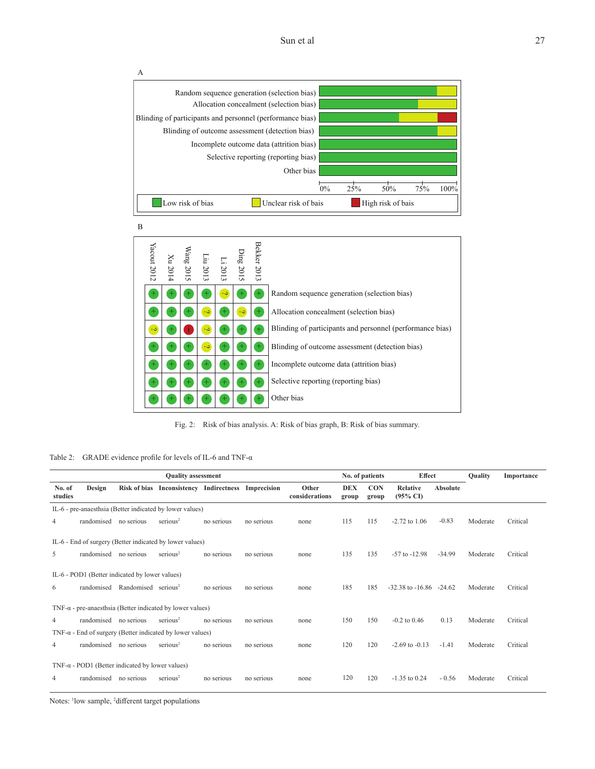Sun et al 27



B

| Yacout 2012        | Xu 2014 | Wang 2015 |                      | Ding 2015<br>Li 2013<br>Liu 2013 |                      | Bekker 2013      |                                                           |
|--------------------|---------|-----------|----------------------|----------------------------------|----------------------|------------------|-----------------------------------------------------------|
| $\pm$              | $\pm$   | $+$       | $^{+}$               | $\ddot{\phantom{0}}$             | $^{+}$               | $^{+}$           | Random sequence generation (selection bias)               |
| $\pm$              |         | +         | $\ddot{\phantom{0}}$ | $\pm$                            | $\ddot{\phantom{0}}$ | $+$              | Allocation concealment (selection bias)                   |
| د.                 |         |           |                      | $^{+}$                           | $\overline{+}$       | $+$              | Blinding of participants and personnel (performance bias) |
| ┭                  | $\pm$   |           | $\ddot{\phantom{0}}$ | $+$                              | $^{+}$               | $\scriptstyle +$ | Blinding of outcome assessment (detection bias)           |
| $\hspace{0.1mm} +$ | $\pm$   | $\pm$     | $^+$                 | $^{+}$                           | $^{+}$               | $\scriptstyle +$ | Incomplete outcome data (attrition bias)                  |
| $^+$               |         |           | $+$                  | $^{+}$                           | $\ddot{}$            | $+$              | Selective reporting (reporting bias)                      |
| $\pm$              | $\pm$   | $+$       | $+$                  | $^{+}$                           | $+$                  | $^{+}$           | Other bias                                                |

Fig. 2: Risk of bias analysis. A: Risk of bias graph, B: Risk of bias summary.

Table 2: GRADE evidence profile for levels of IL-6 and TNF-α

| <b>Quality assessment</b> |                       |                                                         |                                                                   |            |            |                         |                     |                     | No. of patients<br><b>Effect</b>       |                 | Quality  | Importance |
|---------------------------|-----------------------|---------------------------------------------------------|-------------------------------------------------------------------|------------|------------|-------------------------|---------------------|---------------------|----------------------------------------|-----------------|----------|------------|
| No. of<br>studies         | Design                |                                                         | Risk of bias Inconsistency Indirectness Imprecision               |            |            | Other<br>considerations | <b>DEX</b><br>group | <b>CON</b><br>group | <b>Relative</b><br>$(95\% \text{ C}I)$ | <b>Absolute</b> |          |            |
|                           |                       |                                                         | IL-6 - pre-anaesthsia (Better indicated by lower values)          |            |            |                         |                     |                     |                                        |                 |          |            |
| 4                         | randomised no serious |                                                         | serious <sup>2</sup>                                              | no serious | no serious | none                    | 115                 | 115                 | $-2.72$ to $1.06$                      | $-0.83$         | Moderate | Critical   |
|                           |                       |                                                         | IL-6 - End of surgery (Better indicated by lower values)          |            |            |                         |                     |                     |                                        |                 |          |            |
| 5                         | randomised no serious |                                                         | $s$ erious <sup>2</sup>                                           | no serious | no serious | none                    | 135                 | 135                 | $-57$ to $-12.98$                      | $-34.99$        | Moderate | Critical   |
|                           |                       | IL-6 - POD1 (Better indicated by lower values)          |                                                                   |            |            |                         |                     |                     |                                        |                 |          |            |
| 6                         |                       | randomised Randomised serious <sup>2</sup>              |                                                                   | no serious | no serious | none                    | 185                 | 185                 | $-32.38$ to $-16.86$ $-24.62$          |                 | Moderate | Critical   |
|                           |                       |                                                         | TNF- $\alpha$ - pre-anaesthsia (Better indicated by lower values) |            |            |                         |                     |                     |                                        |                 |          |            |
| $\overline{4}$            | randomised no serious |                                                         | serious <sup>2</sup>                                              | no serious | no serious | none                    | 150                 | 150                 | $-0.2$ to $0.46$                       | 0.13            | Moderate | Critical   |
|                           |                       |                                                         | $TNF-\alpha$ - End of surgery (Better indicated by lower values)  |            |            |                         |                     |                     |                                        |                 |          |            |
| 4                         | randomised no serious |                                                         | serious <sup>2</sup>                                              | no serious | no serious | none                    | 120                 | 120                 | $-2.69$ to $-0.13$                     | $-1.41$         | Moderate | Critical   |
|                           |                       | TNF- $\alpha$ - POD1 (Better indicated by lower values) |                                                                   |            |            |                         |                     |                     |                                        |                 |          |            |
| 4                         | randomised no serious |                                                         | $s$ erious <sup>2</sup>                                           | no serious | no serious | none                    | 120                 | 120                 | $-1.35$ to 0.24                        | $-0.56$         | Moderate | Critical   |

Notes: <sup>1</sup>low sample, <sup>2</sup>different target populations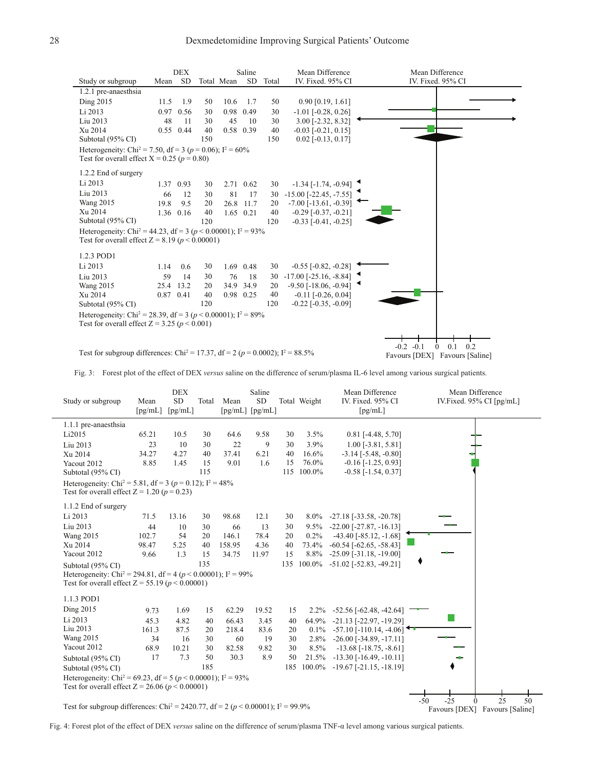

Fig. 3: Forest plot of the effect of DEX *versus* saline on the difference of serum/plasma IL-6 level among various surgical patients.

| Study or subgroup                                                                                                            | Mean<br>$\lceil$ pg/mL $\rceil$ | <b>DEX</b><br>SD<br>[pg/mL] | Total | Mean   | Saline<br>SD<br>[pg/mL] [pg/mL] |     | Total Weight | Mean Difference<br>IV. Fixed. 95% CI<br>[pg/mL] | Mean Difference<br>IV.Fixed. 95% CI [pg/mL] |
|------------------------------------------------------------------------------------------------------------------------------|---------------------------------|-----------------------------|-------|--------|---------------------------------|-----|--------------|-------------------------------------------------|---------------------------------------------|
| 1.1.1 pre-anaesthsia                                                                                                         |                                 |                             |       |        |                                 |     |              |                                                 |                                             |
| Li2015                                                                                                                       | 65.21                           | 10.5                        | 30    | 64.6   | 9.58                            | 30  | 3.5%         | $0.81$ [-4.48, 5.70]                            |                                             |
| Liu 2013                                                                                                                     | 23                              | 10                          | 30    | 22     | 9                               | 30  | 3.9%         | $1.00$ [-3.81, 5.81]                            |                                             |
| Xu 2014                                                                                                                      | 34.27                           | 4.27                        | 40    | 37.41  | 6.21                            | 40  | 16.6%        | $-3.14$ $[-5.48, -0.80]$                        |                                             |
| Yacout 2012                                                                                                                  | 8.85                            | 1.45                        | 15    | 9.01   | 1.6                             | 15  | 76.0%        | $-0.16$ [ $-1.25$ , 0.93]                       |                                             |
| Subtotal (95% CI)                                                                                                            |                                 |                             | 115   |        |                                 | 115 | 100.0%       | $-0.58$ [ $-1.54$ , $0.37$ ]                    |                                             |
| Heterogeneity: Chi <sup>2</sup> = 5.81, df = 3 (p = 0.12); $I^2 = 48\%$<br>Test for overall effect $Z = 1.20$ ( $p = 0.23$ ) |                                 |                             |       |        |                                 |     |              |                                                 |                                             |
| 1.1.2 End of surgery                                                                                                         |                                 |                             |       |        |                                 |     |              |                                                 |                                             |
| Li 2013                                                                                                                      | 71.5                            | 13.16                       | 30    | 98.68  | 12.1                            | 30  | $8.0\%$      | $-27.18$ [ $-33.58$ , $-20.78$ ]                |                                             |
| Liu 2013                                                                                                                     | 44                              | 10                          | 30    | 66     | 13                              | 30  | $9.5\%$      | $-22.00$ [ $-27.87$ , $-16.13$ ]                |                                             |
| <b>Wang 2015</b>                                                                                                             | 102.7                           | 54                          | 20    | 146.1  | 78.4                            | 20  | $0.2\%$      | $-43.40$ [ $-85.12$ , $-1.68$ ]                 |                                             |
| Xu 2014                                                                                                                      | 98.47                           | 5.25                        | 40    | 158.95 | 4.36                            | 40  | 73.4%        | $-60.54$ $[-62.65, -58.43]$                     |                                             |
| Yacout 2012                                                                                                                  | 9.66                            | 1.3                         | 15    | 34.75  | 11.97                           | 15  | 8.8%         | $-25.09$ [ $-31.18$ , $-19.00$ ]                |                                             |
| Subtotal (95% CI)                                                                                                            |                                 |                             | 135   |        |                                 |     |              | 135 100.0% -51.02 [-52.83, -49.21]              |                                             |
| Heterogeneity: Chi <sup>2</sup> = 294.81, df = 4 ( $p$ < 0.00001); $I^2$ = 99%                                               |                                 |                             |       |        |                                 |     |              |                                                 |                                             |
| Test for overall effect $Z = 55.19 (p < 0.00001)$                                                                            |                                 |                             |       |        |                                 |     |              |                                                 |                                             |
| 1.1.3 POD1                                                                                                                   |                                 |                             |       |        |                                 |     |              |                                                 |                                             |
| Ding 2015                                                                                                                    | 9.73                            | 1.69                        | 15    | 62.29  | 19.52                           | 15  |              | $2.2\%$ -52.56 [-62.48, -42.64]                 |                                             |
| Li 2013                                                                                                                      | 45.3                            | 4.82                        | 40    | 66.43  | 3.45                            | 40  | 64.9%        | $-21.13$ [ $-22.97, -19.29$ ]                   |                                             |
| Liu 2013                                                                                                                     | 161.3                           | 87.5                        | 20    | 218.4  | 83.6                            | 20  |              | $0.1\%$ -57.10 [-110.14, -4.06]                 |                                             |
| <b>Wang 2015</b>                                                                                                             | 34                              | 16                          | 30    | 60     | 19                              | 30  |              | $2.8\%$ -26.00 [-34.89, -17.11]                 |                                             |
| Yacout 2012                                                                                                                  | 68.9                            | 10.21                       | 30    | 82.58  | 9.82                            | 30  | 8.5%         | $-13.68$ [ $-18.75$ , $-8.61$ ]                 |                                             |
| Subtotal (95% CI)                                                                                                            | 17                              | 7.3                         | 50    | 30.3   | 8.9                             | 50  |              | $21.5\%$ -13.30 [-16.49, -10.11]                |                                             |
| Subtotal (95% CI)                                                                                                            |                                 |                             | 185   |        |                                 | 185 |              | $100.0\%$ -19.67 [-21.15, -18.19]               |                                             |
| Heterogeneity: Chi <sup>2</sup> = 69.23, df = 5 ( $p$ < 0.00001); I <sup>2</sup> = 93%                                       |                                 |                             |       |        |                                 |     |              |                                                 |                                             |
| Test for overall effect $Z = 26.06 (p < 0.00001)$                                                                            |                                 |                             |       |        |                                 |     |              |                                                 |                                             |
|                                                                                                                              |                                 |                             |       |        |                                 |     |              |                                                 | $25^{\circ}$<br>$-50$<br>$-25$<br>50        |
| Test for subgroup differences: Chi <sup>2</sup> = 2420.77, df = 2 ( $p < 0.00001$ ); $I^2 = 99.9\%$                          |                                 |                             |       |        |                                 |     |              |                                                 | <b>Favours [DEX]</b> Favours [Saline]       |

Favours [DEX] Favours [Saline]

Fig. 4: Forest plot of the effect of DEX *versus* saline on the difference of serum/plasma TNF-α level among various surgical patients.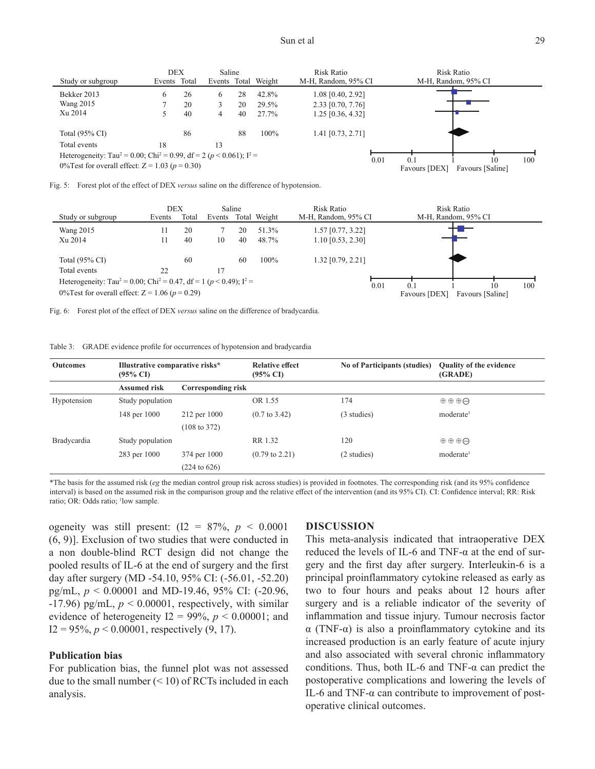| Study or subgroup                                                                                                                                                 | Events Total | <b>DEX</b> | Saline |          | Events Total Weight | Risk Ratio<br>M-H, Random, 95% CI        | Risk Ratio<br>M-H, Random, 95% CI |                               |
|-------------------------------------------------------------------------------------------------------------------------------------------------------------------|--------------|------------|--------|----------|---------------------|------------------------------------------|-----------------------------------|-------------------------------|
| Bekker 2013<br><b>Wang 2015</b>                                                                                                                                   | 6            | 26<br>20   | 6      | 28<br>20 | 42.8%<br>29.5%      | $1.08$ [0.40, 2.92]<br>2.33 [0.70, 7.76] |                                   |                               |
| Xu 2014                                                                                                                                                           |              | 40         | 4      | 40       | 27.7%               | $1.25$ [0.36, 4.32]                      |                                   |                               |
| Total $(95\% \text{ CI})$                                                                                                                                         |              | 86         |        | 88       | 100%                | 1.41 [0.73, 2.71]                        |                                   |                               |
| Total events                                                                                                                                                      | 18           |            | 13     |          |                     |                                          |                                   |                               |
| Heterogeneity: Tau <sup>2</sup> = 0.00; Chi <sup>2</sup> = 0.99, df = 2 ( $p$ < 0.061); I <sup>2</sup> =<br>0% Test for overall effect: $Z = 1.03$ ( $p = 0.30$ ) |              |            |        |          |                     |                                          | 0.01<br>0.1<br>Favours [DEX]      | 100<br>10<br>Favours [Saline] |

|  |  |  | Fig. 5: Forest plot of the effect of DEX versus saline on the difference of hypotension. |  |
|--|--|--|------------------------------------------------------------------------------------------|--|
|  |  |  |                                                                                          |  |

|                                                                                                                                                              | <b>DEX</b> |       | Saline |    |              | Risk Ratio          |             | Risk Ratio          |                  |     |
|--------------------------------------------------------------------------------------------------------------------------------------------------------------|------------|-------|--------|----|--------------|---------------------|-------------|---------------------|------------------|-----|
| Study or subgroup                                                                                                                                            | Events     | Total | Events |    | Total Weight | M-H, Random, 95% CI |             | M-H, Random, 95% CI |                  |     |
| <b>Wang 2015</b>                                                                                                                                             | 11         | 20    |        | 20 | 51.3%        | 1.57 [0.77, 3.22]   |             |                     |                  |     |
| Xu 2014                                                                                                                                                      |            | 40    | 10     | 40 | 48.7%        | $1.10$ [0.53, 2.30] |             |                     |                  |     |
| Total $(95\% \text{ CI})$                                                                                                                                    |            | 60    |        | 60 | 100%         | 1.32 [0.79, 2.21]   |             |                     |                  |     |
| Total events                                                                                                                                                 | 22         |       |        |    |              |                     |             |                     |                  |     |
| Heterogeneity: Tau <sup>2</sup> = 0.00; Chi <sup>2</sup> = 0.47, df = 1 ( $p$ < 0.49); I <sup>2</sup> =<br>0% Test for overall effect: $Z = 1.06 (p = 0.29)$ |            |       |        |    |              |                     | 0.01<br>0.1 |                     | 10               | 100 |
|                                                                                                                                                              |            |       |        |    |              |                     |             | Favours [DEX]       | Favours [Saline] |     |

Fig. 6: Forest plot of the effect of DEX *versus* saline on the difference of bradycardia.

Table 3: GRADE evidence profile for occurrences of hypotension and bradycardia

| <b>Outcomes</b> | Illustrative comparative risks*<br>$(95\% \text{ CI})$ |                         | <b>Relative effect</b><br>$(95\% \text{ CI})$ | <b>No of Participants (studies)</b> | <b>Quality of the evidence</b><br>(GRADE) |
|-----------------|--------------------------------------------------------|-------------------------|-----------------------------------------------|-------------------------------------|-------------------------------------------|
|                 | <b>Assumed risk</b>                                    | Corresponding risk      |                                               |                                     |                                           |
| Hypotension     | Study population                                       |                         | OR 1.55                                       | 174                                 | $\oplus$ $\oplus$ $\oplus$                |
|                 | 148 per 1000                                           | 212 per 1000            | $(0.7 \text{ to } 3.42)$                      | (3 studies)                         | moderate <sup>1</sup>                     |
|                 |                                                        | $(108 \text{ to } 372)$ |                                               |                                     |                                           |
| Bradycardia     | Study population                                       |                         | RR 1.32                                       | 120                                 | $\oplus$ $\oplus$ $\oplus$                |
|                 | 283 per 1000                                           | 374 per 1000            | $(0.79 \text{ to } 2.21)$                     | (2 studies)                         | moderate <sup>1</sup>                     |
|                 |                                                        | $(224 \text{ to } 626)$ |                                               |                                     |                                           |

\*The basis for the assumed risk (*eg* the median control group risk across studies) is provided in footnotes. The corresponding risk (and its 95% confidence interval) is based on the assumed risk in the comparison group and the relative effect of the intervention (and its 95% CI). CI: Confidence interval; RR: Risk ratio; OR: Odds ratio; <sup>1</sup>low sample.

ogeneity was still present:  $(I2 = 87\%, p < 0.0001$ (6, 9)]. Exclusion of two studies that were conducted in a non double-blind RCT design did not change the pooled results of IL-6 at the end of surgery and the first day after surgery (MD -54.10, 95% CI: (-56.01, -52.20) pg/mL, *p* < 0.00001 and MD-19.46, 95% CI: (-20.96,  $-17.96$ ) pg/mL,  $p < 0.00001$ , respectively, with similar evidence of heterogeneity  $I2 = 99\%, p < 0.00001;$  and  $I2 = 95\%, p < 0.00001$ , respectively (9, 17).

## **Publication bias**

For publication bias, the funnel plot was not assessed due to the small number  $($  < 10) of RCTs included in each analysis.

#### **DISCUSSION**

This meta-analysis indicated that intraoperative DEX reduced the levels of IL-6 and TNF- $\alpha$  at the end of surgery and the first day after surgery. Interleukin-6 is a principal proinflammatory cytokine released as early as two to four hours and peaks about 12 hours after surgery and is a reliable indicator of the severity of inflammation and tissue injury. Tumour necrosis factor α (TNF-α) is also a proinflammatory cytokine and its increased production is an early feature of acute injury and also associated with several chronic inflammatory conditions. Thus, both IL-6 and TNF- $\alpha$  can predict the postoperative complications and lowering the levels of IL-6 and TNF- $\alpha$  can contribute to improvement of postoperative clinical outcomes.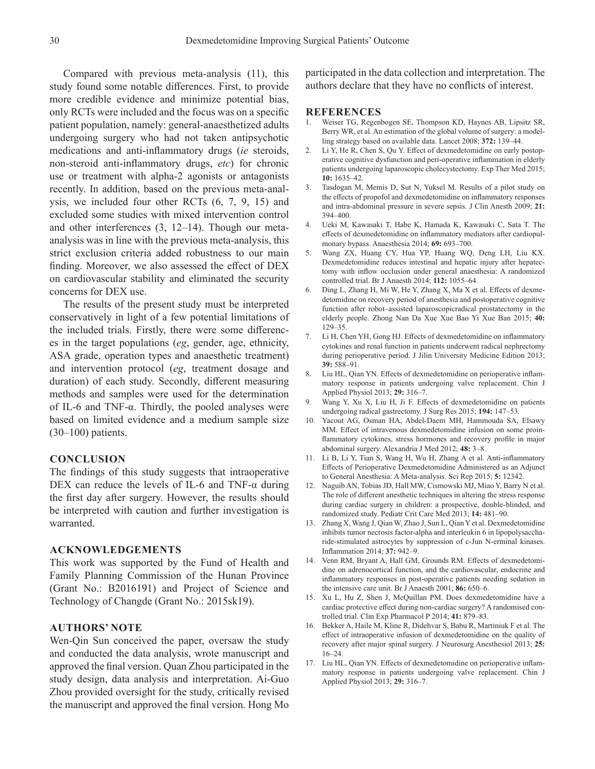Compared with previous meta-analysis (11), this study found some notable differences. First, to provide more credible evidence and minimize potential bias, only RCTs were included and the focus was on a specific patient population, namely: general-anaesthetized adults undergoing surgery who had not taken antipsychotic medications and anti-inflammatory drugs (*ie* steroids, non-steroid anti-inflammatory drugs, *etc*) for chronic use or treatment with alpha-2 agonists or antagonists recently. In addition, based on the previous meta-analysis, we included four other RCTs (6, 7, 9, 15) and excluded some studies with mixed intervention control and other interferences (3, 12–14). Though our metaanalysis was in line with the previous meta-analysis, this strict exclusion criteria added robustness to our main finding. Moreover, we also assessed the effect of DEX on cardiovascular stability and eliminated the security concerns for DEX use.

The results of the present study must be interpreted conservatively in light of a few potential limitations of the included trials. Firstly, there were some differences in the target populations (*eg*, gender, age, ethnicity, ASA grade, operation types and anaesthetic treatment) and intervention protocol (*eg*, treatment dosage and duration) of each study. Secondly, different measuring methods and samples were used for the determination of IL-6 and TNF-α. Thirdly, the pooled analyses were based on limited evidence and a medium sample size (30–100) patients.

# **CONCLUSION**

The findings of this study suggests that intraoperative DEX can reduce the levels of IL-6 and TNF-α during the first day after surgery. However, the results should be interpreted with caution and further investigation is warranted.

# **ACKNOWLEDGEMENTS**

This work was supported by the Fund of Health and Family Planning Commission of the Hunan Province (Grant No.: B2016191) and Project of Science and Technology of Changde (Grant No.: 2015sk19).

# **AUTHORS' NOTE**

Wen-Qin Sun conceived the paper, oversaw the study and conducted the data analysis, wrote manuscript and approved the final version. Quan Zhou participated in the study design, data analysis and interpretation. Ai-Guo Zhou provided oversight for the study, critically revised the manuscript and approved the final version. Hong Mo

participated in the data collection and interpretation. The authors declare that they have no conflicts of interest.

#### **REFERENCES**

- 1. Weiser TG, Regenbogen SE, Thompson KD, Haynes AB, Lipsitz SR, Berry WR, et al. An estimation of the global volume of surgery: a modelling strategy based on available data. Lancet 2008; **372:** 139–44.
- 2. Li Y, He R, Chen S, Qu Y. Effect of dexmedetomidine on early postoperative cognitive dysfunction and peri-operative inflammation in elderly patients undergoing laparoscopic cholecystectomy. Exp Ther Med 2015; **10:** 1635–42.
- 3. Tasdogan M, Memis D, Sut N, Yuksel M. Results of a pilot study on the effects of propofol and dexmedetomidine on inflammatory responses and intra-abdominal pressure in severe sepsis. J Clin Anesth 2009; **21:** 394–400.
- 4. Ueki M, Kawasaki T, Habe K, Hamada K, Kawasaki C, Sata T. The effects of dexmedetomidine on inflammatory mediators after cardiopulmonary bypass. Anaesthesia 2014; **69:** 693–700.
- 5. Wang ZX, Huang CY, Hua YP, Huang WQ, Deng LH, Liu KX. Dexmedetomidine reduces intestinal and hepatic injury after hepatectomy with inflow occlusion under general anaesthesia: A randomized controlled trial. Br J Anaesth 2014; **112:** 1055–64.
- 6. Ding L, Zhang H, Mi W, He Y, Zhang X, Ma X et al. Effects of dexmedetomidine on recovery period of anesthesia and postoperative cognitive function after robot–assisted laparoscopicradical prostatectomy in the elderly people. Zhong Nan Da Xue Xue Bao Yi Xue Ban 2015; **40:** 129–35.
- 7. Li H, Chen YH, Gong HJ. Effects of dexmedetomidine on inflammatory cytokines and renal function in patients underwent radical nephrectomy during perioperative period. J Jilin University Medicine Edition 2013; **39:** 588–91.
- 8. Liu HL, Qian YN. Effects of dexmedetomidine on perioperative inflammatory response in patients undergoing valve replacement. Chin J Applied Physiol 2013; **29:** 316–7.
- 9. Wang Y, Xu X, Liu H, Ji F. Effects of dexmedetomidine on patients undergoing radical gastrectomy. J Surg Res 2015; **194:** 147–53.
- 10. Yacout AG, Osman HA, Abdel-Daem MH, Hammouda SA, Elsawy MM. Effect of intravenous dexmedetomidine infusion on some proinflammatory cytokines, stress hormones and recovery profile in major abdominal surgery. Alexandria J Med 2012; **48:** 3–8.
- 11. Li B, Li Y, Tian S, Wang H, Wu H, Zhang A et al. Anti-inflammatory Effects of Perioperative Dexmedetomidine Administered as an Adjunct to General Anesthesia: A Meta-analysis. Sci Rep 2015; **5:** 12342.
- 12. Naguib AN, Tobias JD, Hall MW, Cismowski MJ, Miao Y, Barry N et al. The role of different anesthetic techniques in altering the stress response during cardiac surgery in children: a prospective, double-blinded, and randomized study. Pediatr Crit Care Med 2013; **14:** 481–90.
- 13. Zhang X, Wang J, Qian W, Zhao J, Sun L, Qian Y et al. Dexmedetomidine inhibits tumor necrosis factor-alpha and interleukin 6 in lipopolysaccharide-stimulated astrocytes by suppression of c-Jun N-erminal kinases. Inflammation 2014; **37:** 942–9.
- 14. Venn RM, Bryant A, Hall GM, Grounds RM. Effects of dexmedetomidine on adrenocortical function, and the cardiovascular, endocrine and inflammatory responses in post-operative patients needing sedation in the intensive care unit. Br J Anaesth 2001; **86:** 650–6.
- 15. Xu L, Hu Z, Shen J, McQuillan PM. Does dexmedetomidine have a cardiac protective effect during non-cardiac surgery? A randomised controlled trial. Clin Exp Pharmacol P 2014; **41:** 879–83.
- 16. Bekker A, Haile M, Kline R, Didehvar S, Babu R, Martiniuk F et al. The effect of intraoperative infusion of dexmedetomidine on the quality of recovery after major spinal surgery. J Neurosurg Anesthesiol 2013; **25:** 16–24.
- 17. Liu HL, Qian YN. Effects of dexmedetomidine on perioperative inflammatory response in patients undergoing valve replacement. Chin J Applied Physiol 2013; **29:** 316–7.